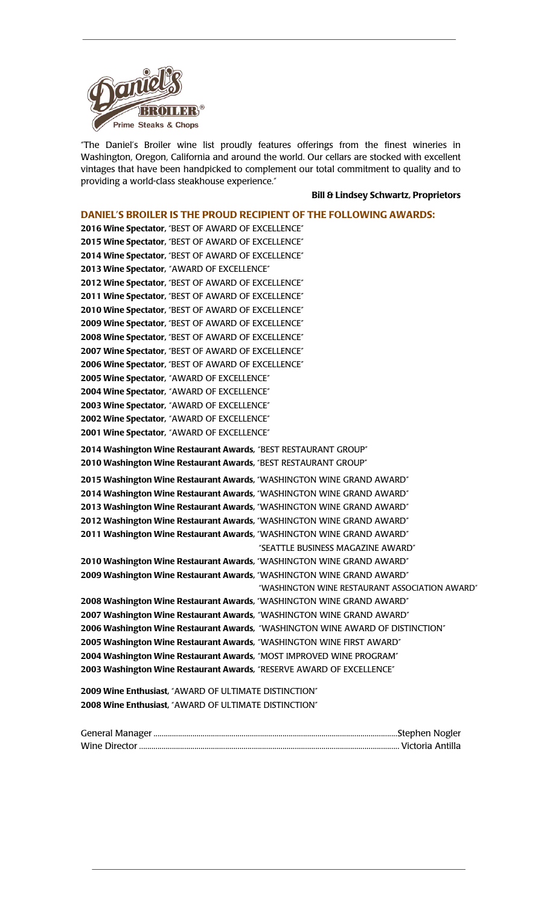

"The Daniel's Broiler wine list proudly features offerings from the finest wineries in Washington, Oregon, California and around the world. Our cellars are stocked with excellent vintages that have been handpicked to complement our total commitment to quality and to providing a world-class steakhouse experience."

#### **Bill & Lindsey Schwartz, Proprietors**

# **DANIEL'S BROILER IS THE PROUD RECIPIENT OF THE FOLLOWING AWARDS: 2016 Wine Spectator,** "BEST OF AWARD OF EXCELLENCE" **2015 Wine Spectator,** "BEST OF AWARD OF EXCELLENCE" **2014 Wine Spectator,** "BEST OF AWARD OF EXCELLENCE" **2013 Wine Spectator,** "AWARD OF EXCELLENCE" **2012 Wine Spectator,** "BEST OF AWARD OF EXCELLENCE" **2011 Wine Spectator,** "BEST OF AWARD OF EXCELLENCE" **2010 Wine Spectator,** "BEST OF AWARD OF EXCELLENCE" **2009 Wine Spectator,** "BEST OF AWARD OF EXCELLENCE" **2008 Wine Spectator,** "BEST OF AWARD OF EXCELLENCE" **2007 Wine Spectator,** "BEST OF AWARD OF EXCELLENCE" **2006 Wine Spectator,** "BEST OF AWARD OF EXCELLENCE" **2005 Wine Spectator,** "AWARD OF EXCELLENCE" **2004 Wine Spectator,** "AWARD OF EXCELLENCE" **2003 Wine Spectator,** "AWARD OF EXCELLENCE" **2002 Wine Spectator,** "AWARD OF EXCELLENCE" **2001 Wine Spectator,** "AWARD OF EXCELLENCE" **2014 Washington Wine Restaurant Awards,** "BEST RESTAURANT GROUP" **2010 Washington Wine Restaurant Awards,** "BEST RESTAURANT GROUP" **2015 Washington Wine Restaurant Awards,** "WASHINGTON WINE GRAND AWARD" **2014 Washington Wine Restaurant Awards,** "WASHINGTON WINE GRAND AWARD" **2013 Washington Wine Restaurant Awards,** "WASHINGTON WINE GRAND AWARD" **2012 Washington Wine Restaurant Awards,** "WASHINGTON WINE GRAND AWARD" **2011 Washington Wine Restaurant Awards,** "WASHINGTON WINE GRAND AWARD" "SEATTLE BUSINESS MAGAZINE AWARD" **2010 Washington Wine Restaurant Awards,** "WASHINGTON WINE GRAND AWARD" **2009 Washington Wine Restaurant Awards,** "WASHINGTON WINE GRAND AWARD" "WASHINGTON WINE RESTAURANT ASSOCIATION AWARD" **2008 Washington Wine Restaurant Awards,** "WASHINGTON WINE GRAND AWARD" **2007 Washington Wine Restaurant Awards,** "WASHINGTON WINE GRAND AWARD" **2006 Washington Wine Restaurant Awards,** "WASHINGTON WINE AWARD OF DISTINCTION" **2005 Washington Wine Restaurant Awards,** "WASHINGTON WINE FIRST AWARD" **2004 Washington Wine Restaurant Awards,** "MOST IMPROVED WINE PROGRAM" **2003 Washington Wine Restaurant Awards,** "RESERVE AWARD OF EXCELLENCE" **2009 Wine Enthusiast,** "AWARD OF ULTIMATE DISTINCTION" **2008 Wine Enthusiast,** "AWARD OF ULTIMATE DISTINCTION"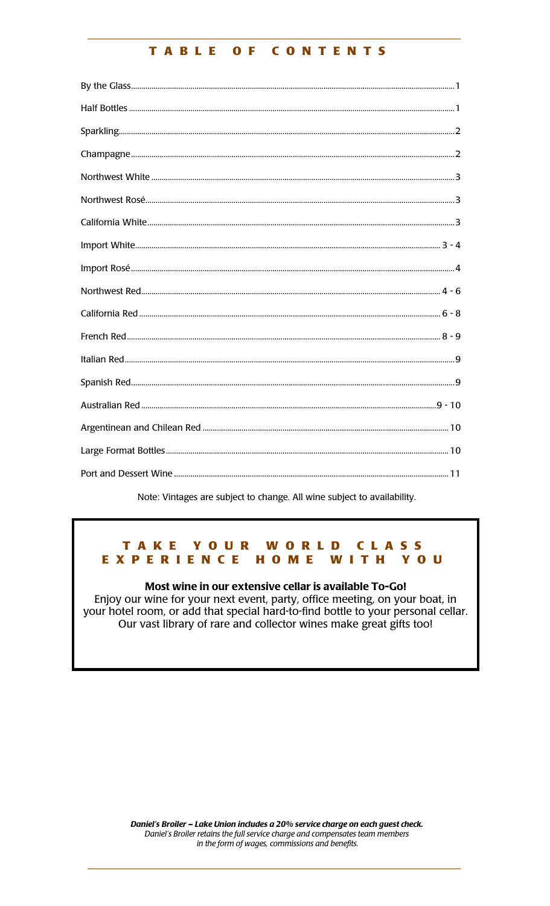#### CONTENTS TABLE  $O$  F

Note: Vintages are subject to change. All wine subject to availability.

#### TAKE YOUR **WORLD CLASS** EXPERIENCE HOME W **YOU** Т т - H

Most wine in our extensive cellar is available To-Go! Enjoy our wine for your next event, party, office meeting, on your boat, in your hotel room, or add that special hard-to-find bottle to your personal cellar. Our vast library of rare and collector wines make great gifts too!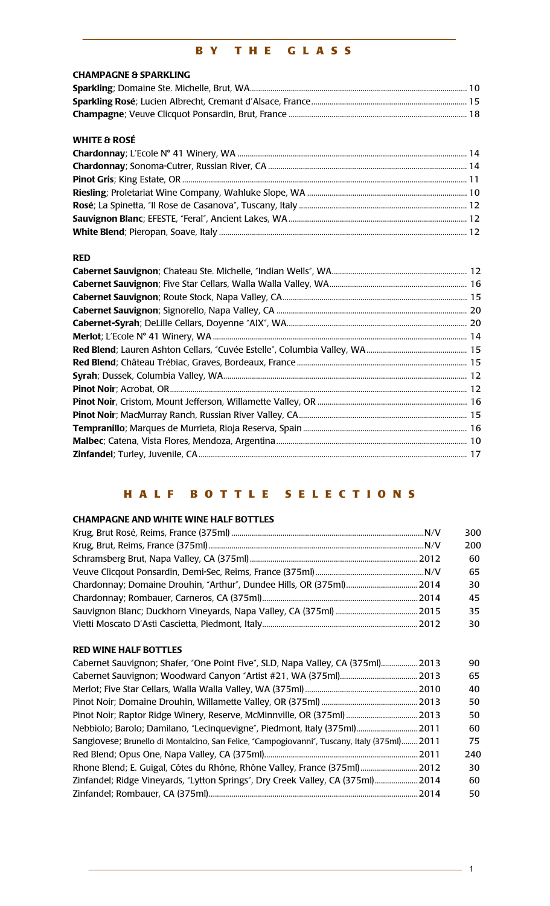# **BY THE GLASS**

| <b>CHAMPAGNE &amp; SPARKLING</b> |  |
|----------------------------------|--|
|                                  |  |
|                                  |  |
|                                  |  |

#### **WHITE & ROSÉ**

# **RED**

# **HALF BOTTLE SELECTIONS**

# **CHAMPAGNE AND WHITE WINE HALF BOTTLES**

|  | 300 |
|--|-----|
|  | 200 |
|  | 60  |
|  | 65. |
|  | 30  |
|  | 45  |
|  | 35. |
|  | 30  |

#### **RED WINE HALF BOTTLES**

| .2010<br>. 2013                                                                              | 90 |
|----------------------------------------------------------------------------------------------|----|
|                                                                                              | 65 |
|                                                                                              | 40 |
|                                                                                              | 50 |
| Pinot Noir; Raptor Ridge Winery, Reserve, McMinnville, OR (375ml) 2013                       | 50 |
| Nebbiolo; Barolo; Damilano, "Lecinquevigne", Piedmont, Italy (375ml) 2011                    | 60 |
| Sangiovese; Brunello di Montalcino, San Felice, "Campogiovanni", Tuscany, Italy (375ml) 2011 | 75 |
| 240                                                                                          |    |
| Rhone Blend; E. Guigal, Côtes du Rhône, Rhône Valley, France (375ml)  2012                   | 30 |
| Zinfandel; Ridge Vineyards, "Lytton Springs", Dry Creek Valley, CA (375ml) 2014              | 60 |
|                                                                                              | 50 |

 $-1$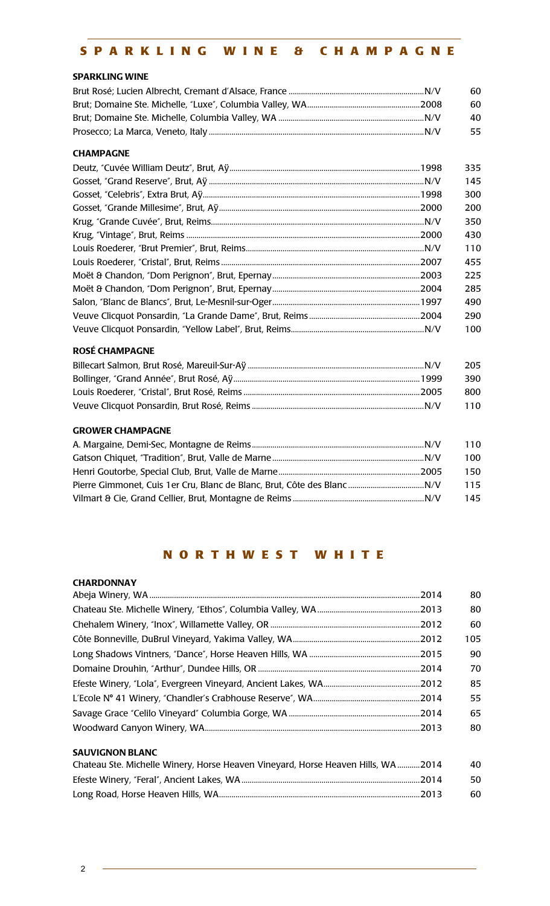# **SPARKLING WINE & CHAMPAGNE**

#### **SPARKLING WINE**

| 60. |
|-----|
| 60. |
| 40  |
| 55. |

#### **CHAMPAGNE**

| 335 |
|-----|
| 145 |
| 300 |
| 200 |
| 350 |
| 430 |
| 110 |
| 455 |
| 225 |
| 285 |
| 490 |
| 290 |
| 100 |

#### **ROSÉ CHAMPAGNE**

| 205  |
|------|
| 390  |
| -800 |
|      |

#### **GROWER CHAMPAGNE**

| 110  |
|------|
| 100  |
| 150. |
| 115  |
| 145  |

# **NORTHWEST WHITE**

#### **CHARDONNAY**

| 80  |
|-----|
| 80  |
| 60  |
| 105 |
| 90  |
| 70  |
| 85  |
| 55  |
| 65  |
| 80  |
|     |

# **SAUVIGNON BLANC**

| Chateau Ste. Michelle Winery, Horse Heaven Vineyard, Horse Heaven Hills, WA2014 | 40. |
|---------------------------------------------------------------------------------|-----|
|                                                                                 | 50. |
|                                                                                 | 60. |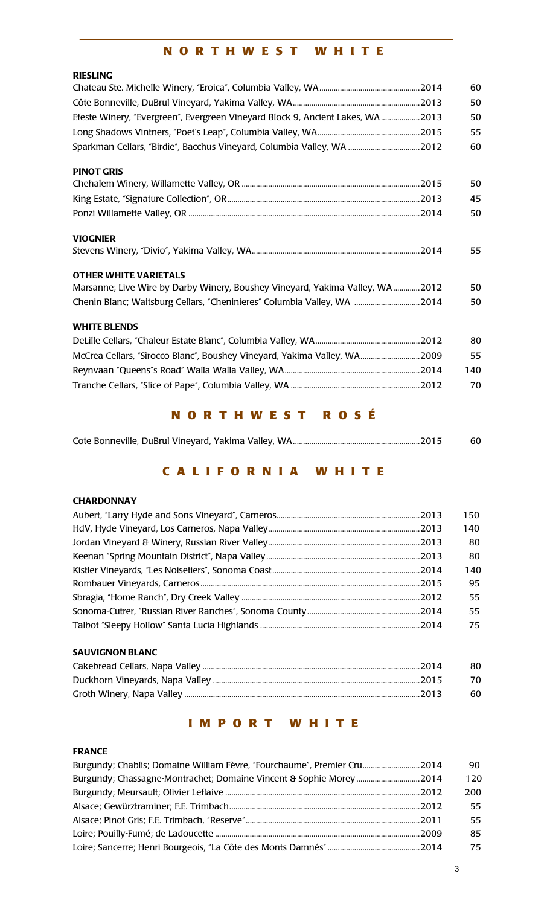# **NORTHWEST WHITE**

| <b>RIESLING</b>                                                                |     |
|--------------------------------------------------------------------------------|-----|
|                                                                                | 60  |
|                                                                                | 50  |
| Efeste Winery, "Evergreen", Evergreen Vineyard Block 9, Ancient Lakes, WA2013  | 50  |
|                                                                                | 55  |
| Sparkman Cellars, "Birdie", Bacchus Vineyard, Columbia Valley, WA  2012        | 60  |
| <b>PINOT GRIS</b>                                                              |     |
|                                                                                | 50  |
|                                                                                | 45  |
|                                                                                | 50  |
| <b>VIOGNIER</b>                                                                |     |
|                                                                                | 55  |
| <b>OTHER WHITE VARIETALS</b>                                                   |     |
| Marsanne; Live Wire by Darby Winery, Boushey Vineyard, Yakima Valley, WA  2012 | 50  |
| Chenin Blanc; Waitsburg Cellars, "Cheninieres" Columbia Valley, WA 2014        | 50  |
| <b>WHITE BLENDS</b>                                                            |     |
|                                                                                | 80  |
| McCrea Cellars, "Sirocco Blanc", Boushey Vineyard, Yakima Valley, WA2009       | 55  |
|                                                                                | 140 |
|                                                                                | 70  |

# **NORTHWEST ROSÉ**

|  | -60 |
|--|-----|

# **CALIFORNIA WHITE**

# **CHARDONNAY**

| 150 |
|-----|
| 140 |
| 80  |
| 80  |
| 140 |
| 95  |
| 55. |
| 55. |
| 75  |
|     |

# **SAUVIGNON BLANC**

| -80 |
|-----|
| 70  |
| -60 |

# **IMPORT WHITE**

# **FRANCE**

| Burgundy; Chablis; Domaine William Fèvre, "Fourchaume", Premier Cru2014 | 90  |
|-------------------------------------------------------------------------|-----|
| Burgundy; Chassagne-Montrachet; Domaine Vincent & Sophie Morey2014      | 120 |
|                                                                         | 200 |
|                                                                         | 55. |
|                                                                         | 55. |
|                                                                         | 85. |
|                                                                         | 75. |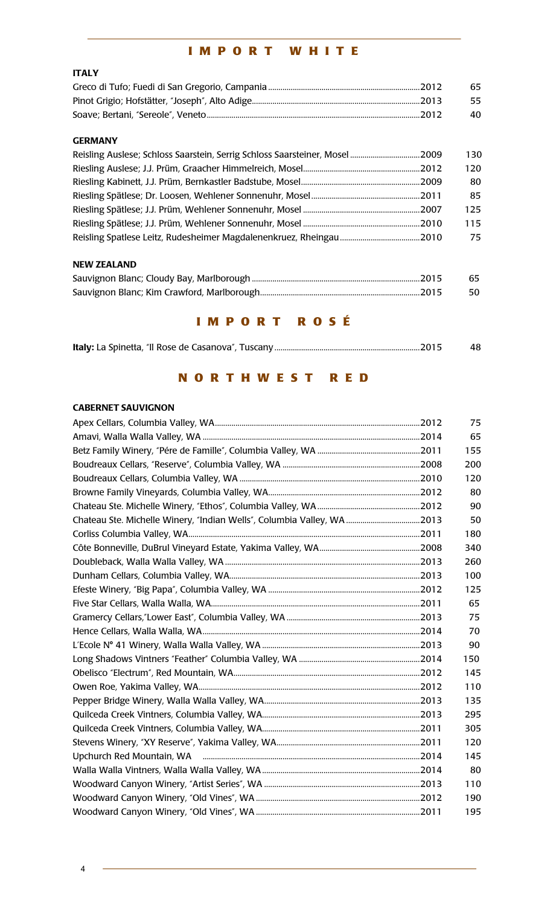# **IMPORT WHITE**

# **ITALY**

| 65   |
|------|
| - 55 |
| 40.  |

# **GERMANY**

| Reisling Auslese; Schloss Saarstein, Serrig Schloss Saarsteiner, Mosel 2009 | 130 |
|-----------------------------------------------------------------------------|-----|
|                                                                             | 120 |
|                                                                             | 80  |
|                                                                             | 85  |
|                                                                             | 125 |
|                                                                             | 115 |
|                                                                             | 75  |

# **NEW ZEALAND**

| 65 |
|----|
| 50 |

# **IMPORT ROSÉ**

| 48. |
|-----|
|     |

# **NORTHWEST RED**

# **CABERNET SAUVIGNON**

|                                                                         | 75  |
|-------------------------------------------------------------------------|-----|
|                                                                         | 65  |
|                                                                         | 155 |
|                                                                         | 200 |
|                                                                         | 120 |
|                                                                         | 80  |
|                                                                         | 90  |
| Chateau Ste. Michelle Winery, 'Indian Wells', Columbia Valley, WA  2013 | 50  |
|                                                                         | 180 |
|                                                                         | 340 |
|                                                                         | 260 |
|                                                                         | 100 |
|                                                                         | 125 |
|                                                                         | 65  |
|                                                                         | 75  |
|                                                                         | 70  |
|                                                                         | 90  |
|                                                                         | 150 |
|                                                                         | 145 |
|                                                                         | 110 |
|                                                                         | 135 |
|                                                                         | 295 |
|                                                                         | 305 |
|                                                                         | 120 |
|                                                                         | 145 |
|                                                                         | 80  |
|                                                                         | 110 |
|                                                                         | 190 |
|                                                                         | 195 |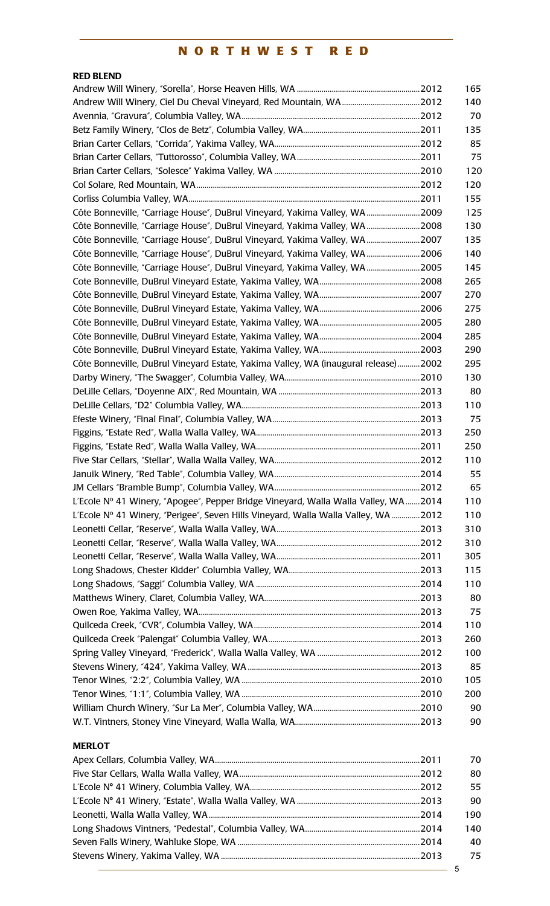# **NORTHWEST RED**

| <b>RED BLEND</b>                                                                   |     |
|------------------------------------------------------------------------------------|-----|
|                                                                                    | 165 |
|                                                                                    | 140 |
|                                                                                    | 70  |
|                                                                                    | 135 |
|                                                                                    | 85  |
|                                                                                    | 75  |
|                                                                                    | 120 |
|                                                                                    | 120 |
|                                                                                    | 155 |
| Côte Bonneville, "Carriage House", DuBrul Vineyard, Yakima Valley, WA2009          | 125 |
| Côte Bonneville, "Carriage House", DuBrul Vineyard, Yakima Valley, WA2008          | 130 |
| Côte Bonneville, "Carriage House", DuBrul Vineyard, Yakima Valley, WA2007          | 135 |
| Côte Bonneville, "Carriage House", DuBrul Vineyard, Yakima Valley, WA2006          | 140 |
| Côte Bonneville, "Carriage House", DuBrul Vineyard, Yakima Valley, WA2005          | 145 |
|                                                                                    | 265 |
|                                                                                    | 270 |
|                                                                                    | 275 |
|                                                                                    | 280 |
|                                                                                    | 285 |
|                                                                                    | 290 |
| Côte Bonneville, DuBrul Vineyard Estate, Yakima Valley, WA (inaugural release)2002 | 295 |
|                                                                                    | 130 |
|                                                                                    | 80  |
|                                                                                    | 110 |
|                                                                                    | 75  |
|                                                                                    | 250 |
|                                                                                    | 250 |
|                                                                                    | 110 |
|                                                                                    | 55  |
|                                                                                    | 65  |
| L'Ecole Nº 41 Winery, "Apogee", Pepper Bridge Vineyard, Walla Walla Valley, WA2014 | 110 |
| L'Ecole Nº 41 Winery, "Perigee", Seven Hills Vineyard, Walla Walla Valley, WA2012  | 110 |
|                                                                                    | 310 |
|                                                                                    | 310 |
|                                                                                    | 305 |
|                                                                                    | 115 |
|                                                                                    | 110 |
|                                                                                    | 80  |
|                                                                                    | 75  |
|                                                                                    | 110 |
|                                                                                    | 260 |
|                                                                                    | 100 |
|                                                                                    | 85  |
|                                                                                    | 105 |
|                                                                                    | 200 |
|                                                                                    | 90  |
|                                                                                    | 90  |
| <b>MERLOT</b>                                                                      |     |

| 70  |
|-----|
| 80  |
| 55  |
| 90  |
| 190 |
| 140 |
| 40  |
| 75  |
|     |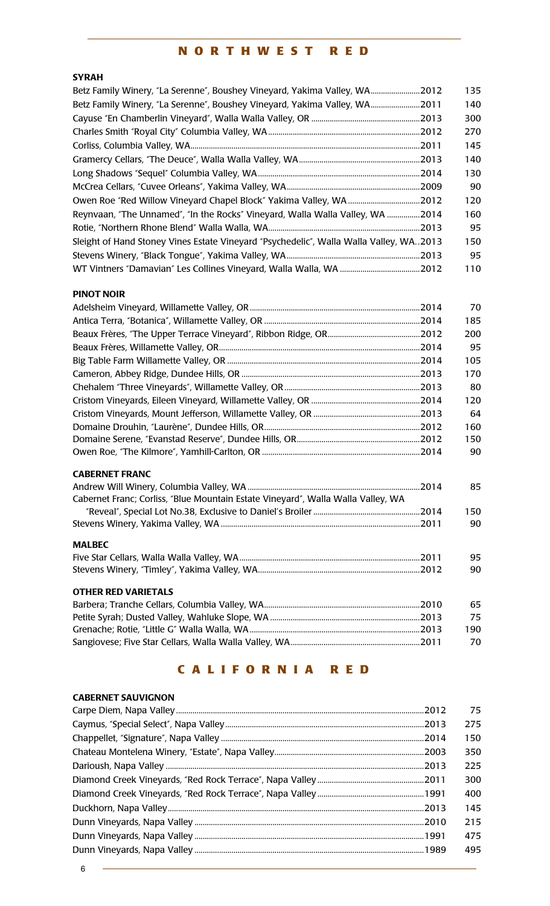# **NORTHWEST RED**

# **SYRAH**

| Betz Family Winery, "La Serenne", Boushey Vineyard, Yakima Valley, WA2012              | 135 |
|----------------------------------------------------------------------------------------|-----|
| Betz Family Winery, "La Serenne", Boushey Vineyard, Yakima Valley, WA2011              | 140 |
| . 2013                                                                                 | 300 |
|                                                                                        | 270 |
|                                                                                        | 145 |
| 2013                                                                                   | 140 |
|                                                                                        | 130 |
|                                                                                        | 90  |
|                                                                                        | 120 |
| Reynvaan, "The Unnamed", "In the Rocks" Vineyard, Walla Walla Valley, WA 2014          | 160 |
|                                                                                        | 95  |
| Sleight of Hand Stoney Vines Estate Vineyard "Psychedelic", Walla Walla Valley, WA2013 | 150 |
|                                                                                        | 95  |
|                                                                                        | 110 |

#### **PINOT NOIR**

|                                                                                  | 70  |
|----------------------------------------------------------------------------------|-----|
|                                                                                  | 185 |
|                                                                                  | 200 |
|                                                                                  | 95  |
|                                                                                  | 105 |
|                                                                                  | 170 |
|                                                                                  | 80  |
|                                                                                  | 120 |
|                                                                                  | 64  |
|                                                                                  | 160 |
|                                                                                  | 150 |
|                                                                                  | 90  |
| <b>CABERNET FRANC</b>                                                            |     |
|                                                                                  | 85  |
| Cabernet Franc; Corliss, "Blue Mountain Estate Vineyard", Walla Walla Valley, WA |     |
|                                                                                  | 150 |
|                                                                                  | 90  |
| <b>MALBEC</b>                                                                    |     |
|                                                                                  | 95  |
|                                                                                  | 90  |
| <b>OTHER RED VARIETALS</b>                                                       |     |
|                                                                                  | 65  |
| Petite Syrah: Dusted Valley, Wahluke Slope, WA [14] Detite Syrah: 2013           | 75  |

|  | 75   |
|--|------|
|  | 190. |
|  | 70   |
|  |      |

# **CALIFORNIA RED**

| <b>CABERNET SAUVIGNON</b> |     |
|---------------------------|-----|
|                           | 75  |
|                           | 275 |
|                           | 150 |
|                           | 350 |
|                           | 225 |
|                           | 300 |
|                           | 400 |
|                           | 145 |
|                           | 215 |
|                           | 475 |
|                           | 495 |
|                           |     |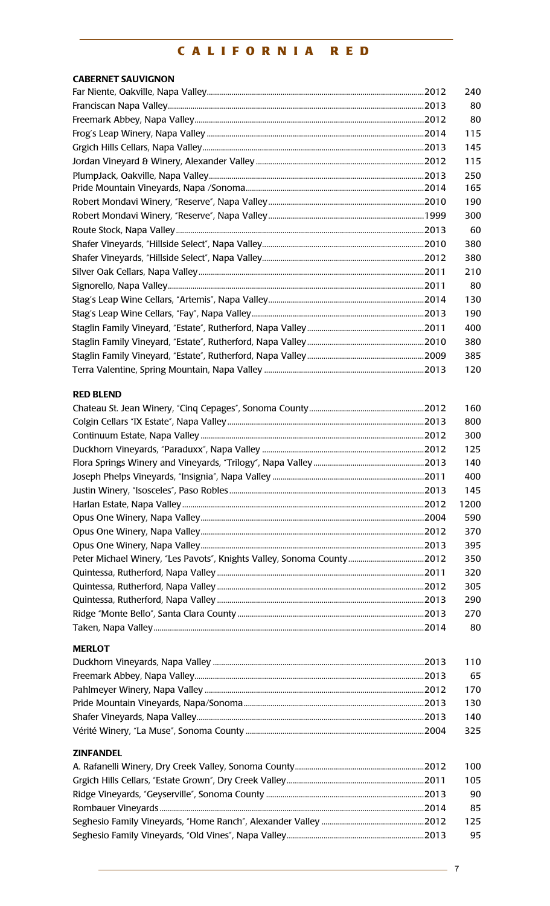# CALIFORNIA RED

| <b>CABERNET SAUVIGNON</b>                                             |      |
|-----------------------------------------------------------------------|------|
|                                                                       | 240  |
|                                                                       | 80   |
|                                                                       | 80   |
|                                                                       | 115  |
|                                                                       | 145  |
|                                                                       | 115  |
|                                                                       | 250  |
|                                                                       | 165  |
|                                                                       | 190  |
|                                                                       | 300  |
|                                                                       | 60   |
|                                                                       | 380  |
|                                                                       | 380  |
|                                                                       | 210  |
|                                                                       | 80   |
|                                                                       | 130  |
|                                                                       | 190  |
|                                                                       | 400  |
|                                                                       | 380  |
|                                                                       | 385  |
|                                                                       | 120  |
| <b>RED BLEND</b>                                                      |      |
|                                                                       | 160  |
|                                                                       | 800  |
|                                                                       | 300  |
|                                                                       | 125  |
|                                                                       | 140  |
|                                                                       | 400  |
|                                                                       | 145  |
|                                                                       | 1200 |
|                                                                       | 590  |
|                                                                       | 370  |
|                                                                       | 395  |
| Peter Michael Winery, "Les Pavots", Knights Valley, Sonoma County2012 | 350  |
|                                                                       | 320  |
|                                                                       | 305  |
|                                                                       | 290  |
|                                                                       | 270  |
|                                                                       | 80   |
| <b>MERLOT</b>                                                         |      |
|                                                                       | 110  |
|                                                                       | 65   |
|                                                                       | 170  |
|                                                                       | 130  |
|                                                                       | 140  |
|                                                                       | 325  |
| <b>ZINFANDEL</b>                                                      |      |
|                                                                       | 100  |
|                                                                       | 105  |
|                                                                       | 90   |
|                                                                       | 85   |
|                                                                       | 125  |
|                                                                       | 95   |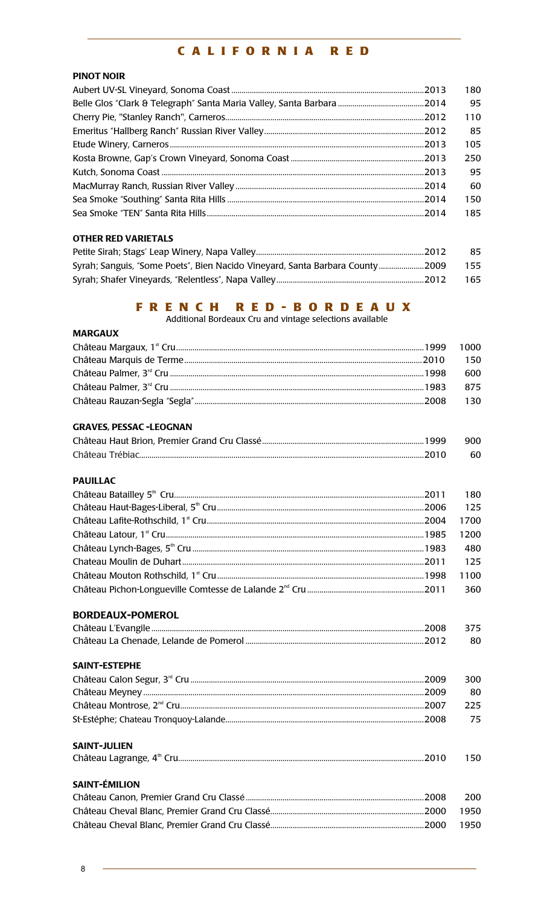# **CALIFORNIA RED**

# **PINOT NOIR**

|  | 180 |
|--|-----|
|  | 95  |
|  | 110 |
|  | 85  |
|  | 105 |
|  | 250 |
|  | 95  |
|  | 60  |
|  | 150 |
|  | 185 |
|  |     |

# **OTHER RED VARIETALS**

|                                                                              | 85   |
|------------------------------------------------------------------------------|------|
| Syrah; Sanguis, "Some Poets", Bien Nacido Vineyard, Santa Barbara County2009 | 155  |
|                                                                              | -165 |

# F R E N C H R E D - B O R D E A U X<br>Additional Bordeaux Cru and vintage selections available

| <b>MARGAUX</b>                 |      |
|--------------------------------|------|
|                                | 1000 |
|                                | 150  |
|                                | 600  |
|                                | 875  |
|                                | 130  |
| <b>GRAVES, PESSAC -LEOGNAN</b> |      |
|                                | 900  |
|                                | 60   |
| <b>PAUILLAC</b>                |      |
|                                | 180  |
|                                | 125  |
|                                | 1700 |
|                                | 1200 |
|                                | 480  |
|                                | 125  |
|                                | 1100 |
|                                | 360  |
| <b>BORDEAUX-POMEROL</b>        |      |
|                                | 375  |
|                                | 80   |
| <b>SAINT-ESTEPHE</b>           |      |
|                                | 300  |
|                                | 80   |
|                                | 225  |
|                                | 75   |
| <b>SAINT-JULIEN</b>            |      |
|                                | 150  |
| <b>SAINT-ÉMILION</b>           |      |
|                                | 200  |
|                                | 1950 |
|                                | 1950 |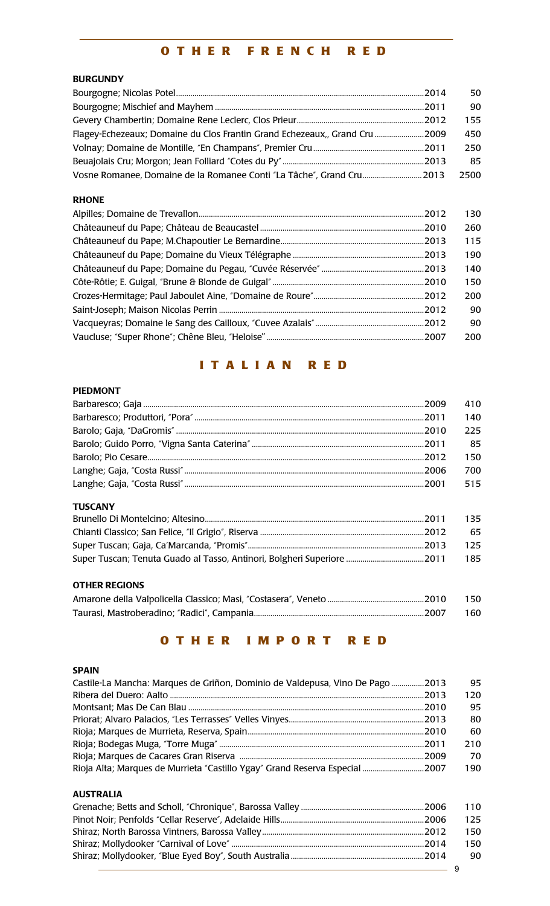# **OTHER FRENCH RED**

# **BURGUNDY**

|                                                                            | 50   |
|----------------------------------------------------------------------------|------|
|                                                                            | 90   |
|                                                                            | 155  |
| Flagey-Echezeaux; Domaine du Clos Frantin Grand Echezeaux,, Grand Cru 2009 | 450  |
|                                                                            | 250  |
|                                                                            | 85   |
| Vosne Romanee, Domaine de la Romanee Conti "La Tâche", Grand Cru 2013      | 2500 |

# **RHONE**

| 130 |
|-----|
| 260 |
| 115 |
| 190 |
| 140 |
| 150 |
| 200 |
| 90  |
| 90  |
| 200 |

# **ITALIAN RED**

#### **PIEDMONT**

|                      | 410 |
|----------------------|-----|
|                      | 140 |
|                      | 225 |
|                      | 85  |
|                      | 150 |
|                      | 700 |
|                      | 515 |
| <b>TUSCANY</b>       |     |
|                      | 135 |
|                      | 65  |
|                      | 125 |
|                      | 185 |
| <b>OTHER REGIONS</b> |     |

| - 150 |
|-------|
| - 160 |

# **OTHER IMPORT RED**

# **SPAIN**

| Castile-La Mancha: Marques de Griñon, Dominio de Valdepusa, Vino De Pago2013 | 95  |
|------------------------------------------------------------------------------|-----|
|                                                                              | 120 |
|                                                                              | 95  |
|                                                                              | 80  |
|                                                                              | 60  |
|                                                                              | 210 |
|                                                                              | 70  |
| Rioja Alta; Marques de Murrieta "Castillo Ygay" Grand Reserva Especial 2007  | 190 |

# **AUSTRALIA**

| 110  |
|------|
| 125. |
| 150  |
| 150  |
| 90.  |
|      |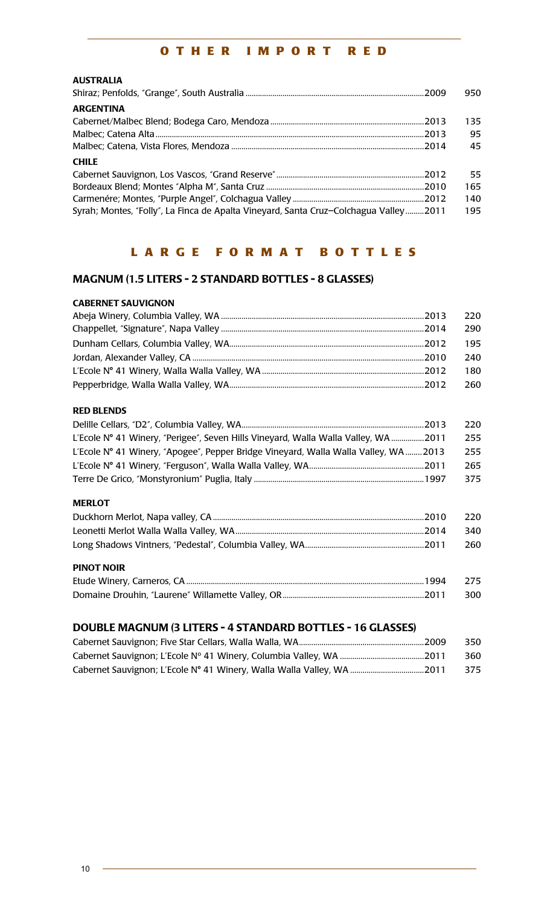# **OTHER IMPORT RED**

# **AUSTRALIA**

|                                                                                      | 950  |
|--------------------------------------------------------------------------------------|------|
| <b>ARGENTINA</b>                                                                     |      |
|                                                                                      | 135. |
| .2013                                                                                | 95   |
|                                                                                      | 45   |
| <b>CHILE</b>                                                                         |      |
|                                                                                      | 55   |
|                                                                                      | 165  |
|                                                                                      | 140  |
| Syrah; Montes, "Folly", La Finca de Apalta Vineyard, Santa Cruz-Colchagua Valley2011 | 195  |

# **LARGE FORMAT BOTTLES**

# **MAGNUM (1.5 LITERS - 2 STANDARD BOTTLES - 8 GLASSES)**

#### **CABERNET SAUVIGNON**

| -220 |
|------|
| 290  |
| 195  |
| 240  |
| 180  |
| 260  |

#### **RED BLENDS**

|                                                                                      | 220 |
|--------------------------------------------------------------------------------------|-----|
| L'Ecole N° 41 Winery, "Perigee", Seven Hills Vineyard, Walla Walla Valley, WA2011    | 255 |
| L'Ecole N° 41 Winery, "Apogee", Pepper Bridge Vineyard, Walla Walla Valley, WA  2013 | 255 |
|                                                                                      | 265 |
|                                                                                      | 375 |

#### **MERLOT**

| $\Gamma$ $\Gamma$ If $\Gamma$ is a sum and $\Gamma$ is $\Gamma$ is $\Gamma$ is $\Gamma$ is $\Gamma$ is $\Gamma$ is $\Gamma$ is $\Gamma$ is $\Gamma$ is $\Gamma$ is $\Gamma$ is $\Gamma$ is $\Gamma$ is $\Gamma$ is $\Gamma$ is $\Gamma$ is $\Gamma$ is $\Gamma$ is $\Gamma$ is $\Gamma$ is $\Gamma$ is $\Gamma$ is $\Gamma$ i<br>100 A | 57F |
|----------------------------------------------------------------------------------------------------------------------------------------------------------------------------------------------------------------------------------------------------------------------------------------------------------------------------------------|-----|
| <b>PINOT NOIR</b>                                                                                                                                                                                                                                                                                                                      |     |
|                                                                                                                                                                                                                                                                                                                                        | 260 |
|                                                                                                                                                                                                                                                                                                                                        | 340 |
|                                                                                                                                                                                                                                                                                                                                        | 220 |

# **DOUBLE MAGNUM (3 LITERS - 4 STANDARD BOTTLES - 16 GLASSES)**

| 350 |
|-----|
| 360 |
| 375 |